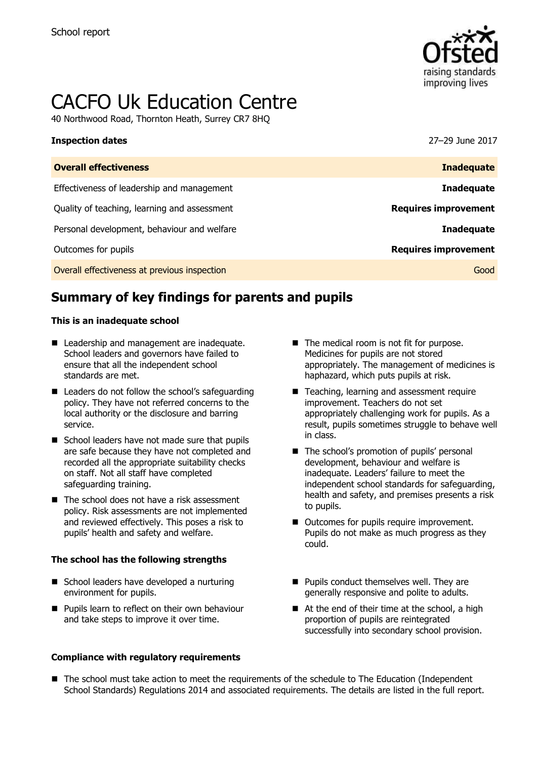

# CACFO Uk Education Centre

40 Northwood Road, Thornton Heath, Surrey CR7 8HQ

| 27-29 June 2017             |
|-----------------------------|
| <b>Inadequate</b>           |
| <b>Inadequate</b>           |
| <b>Requires improvement</b> |
| <b>Inadequate</b>           |
| <b>Requires improvement</b> |
| Good                        |
|                             |

# **Summary of key findings for parents and pupils**

### **This is an inadequate school**

- Leadership and management are inadequate. School leaders and governors have failed to ensure that all the independent school standards are met.
- Leaders do not follow the school's safeguarding policy. They have not referred concerns to the local authority or the disclosure and barring service.
- School leaders have not made sure that pupils are safe because they have not completed and recorded all the appropriate suitability checks on staff. Not all staff have completed safeguarding training.
- $\blacksquare$  The school does not have a risk assessment policy. Risk assessments are not implemented and reviewed effectively. This poses a risk to pupils' health and safety and welfare.

### **The school has the following strengths**

- School leaders have developed a nurturing environment for pupils.
- **Pupils learn to reflect on their own behaviour** and take steps to improve it over time.

### **Compliance with regulatory requirements**

- The medical room is not fit for purpose. Medicines for pupils are not stored appropriately. The management of medicines is haphazard, which puts pupils at risk.
- Teaching, learning and assessment require improvement. Teachers do not set appropriately challenging work for pupils. As a result, pupils sometimes struggle to behave well in class.
- The school's promotion of pupils' personal development, behaviour and welfare is inadequate. Leaders' failure to meet the independent school standards for safeguarding, health and safety, and premises presents a risk to pupils.
- Outcomes for pupils require improvement. Pupils do not make as much progress as they could.
- **Pupils conduct themselves well. They are** generally responsive and polite to adults.
- At the end of their time at the school, a high proportion of pupils are reintegrated successfully into secondary school provision.
- The school must take action to meet the requirements of the schedule to The Education (Independent School Standards) Regulations 2014 and associated requirements. The details are listed in the full report.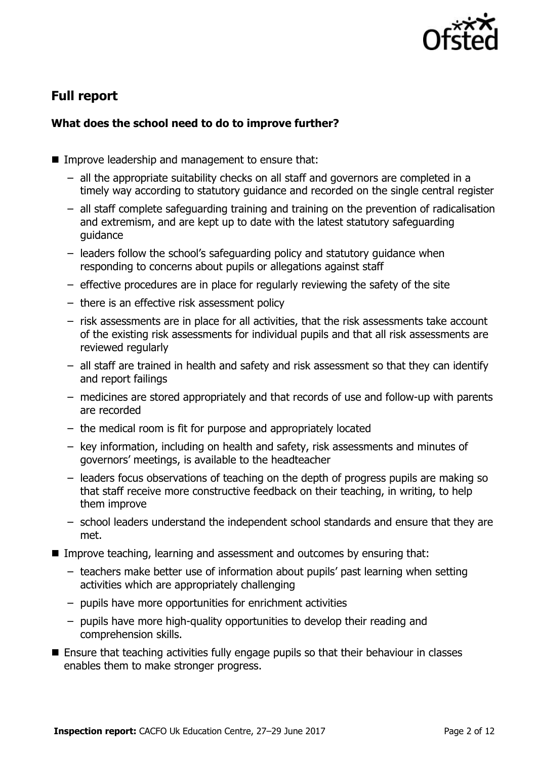

# **Full report**

### **What does the school need to do to improve further?**

- Improve leadership and management to ensure that:
	- all the appropriate suitability checks on all staff and governors are completed in a timely way according to statutory guidance and recorded on the single central register
	- all staff complete safeguarding training and training on the prevention of radicalisation and extremism, and are kept up to date with the latest statutory safeguarding guidance
	- leaders follow the school's safeguarding policy and statutory guidance when responding to concerns about pupils or allegations against staff
	- effective procedures are in place for regularly reviewing the safety of the site
	- there is an effective risk assessment policy
	- risk assessments are in place for all activities, that the risk assessments take account of the existing risk assessments for individual pupils and that all risk assessments are reviewed regularly
	- all staff are trained in health and safety and risk assessment so that they can identify and report failings
	- medicines are stored appropriately and that records of use and follow-up with parents are recorded
	- the medical room is fit for purpose and appropriately located
	- key information, including on health and safety, risk assessments and minutes of governors' meetings, is available to the headteacher
	- leaders focus observations of teaching on the depth of progress pupils are making so that staff receive more constructive feedback on their teaching, in writing, to help them improve
	- school leaders understand the independent school standards and ensure that they are met.
- Improve teaching, learning and assessment and outcomes by ensuring that:
	- teachers make better use of information about pupils' past learning when setting activities which are appropriately challenging
	- pupils have more opportunities for enrichment activities
	- pupils have more high-quality opportunities to develop their reading and comprehension skills.
- Ensure that teaching activities fully engage pupils so that their behaviour in classes enables them to make stronger progress.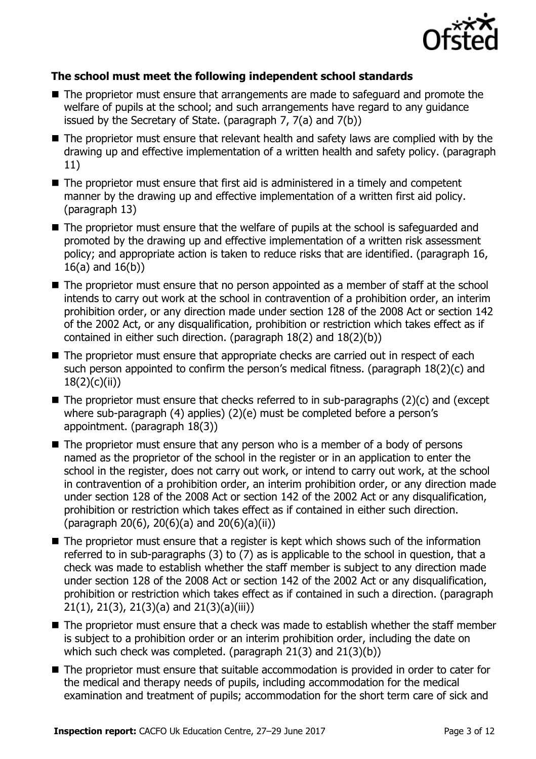

### **The school must meet the following independent school standards**

- The proprietor must ensure that arrangements are made to safeguard and promote the welfare of pupils at the school; and such arrangements have regard to any guidance issued by the Secretary of State. (paragraph 7, 7(a) and 7(b))
- The proprietor must ensure that relevant health and safety laws are complied with by the drawing up and effective implementation of a written health and safety policy. (paragraph 11)
- The proprietor must ensure that first aid is administered in a timely and competent manner by the drawing up and effective implementation of a written first aid policy. (paragraph 13)
- The proprietor must ensure that the welfare of pupils at the school is safeguarded and promoted by the drawing up and effective implementation of a written risk assessment policy; and appropriate action is taken to reduce risks that are identified. (paragraph 16, 16(a) and 16(b))
- The proprietor must ensure that no person appointed as a member of staff at the school intends to carry out work at the school in contravention of a prohibition order, an interim prohibition order, or any direction made under section 128 of the 2008 Act or section 142 of the 2002 Act, or any disqualification, prohibition or restriction which takes effect as if contained in either such direction. (paragraph 18(2) and 18(2)(b))
- The proprietor must ensure that appropriate checks are carried out in respect of each such person appointed to confirm the person's medical fitness. (paragraph 18(2)(c) and 18(2)(c)(ii))
- $\blacksquare$  The proprietor must ensure that checks referred to in sub-paragraphs (2)(c) and (except where sub-paragraph (4) applies) (2)(e) must be completed before a person's appointment. (paragraph 18(3))
- The proprietor must ensure that any person who is a member of a body of persons named as the proprietor of the school in the register or in an application to enter the school in the register, does not carry out work, or intend to carry out work, at the school in contravention of a prohibition order, an interim prohibition order, or any direction made under section 128 of the 2008 Act or section 142 of the 2002 Act or any disqualification, prohibition or restriction which takes effect as if contained in either such direction. (paragraph 20(6), 20(6)(a) and 20(6)(a)(ii))
- The proprietor must ensure that a register is kept which shows such of the information referred to in sub-paragraphs (3) to (7) as is applicable to the school in question, that a check was made to establish whether the staff member is subject to any direction made under section 128 of the 2008 Act or section 142 of the 2002 Act or any disqualification, prohibition or restriction which takes effect as if contained in such a direction. (paragraph 21(1), 21(3), 21(3)(a) and 21(3)(a)(iii))
- The proprietor must ensure that a check was made to establish whether the staff member is subject to a prohibition order or an interim prohibition order, including the date on which such check was completed. (paragraph 21(3) and 21(3)(b))
- The proprietor must ensure that suitable accommodation is provided in order to cater for the medical and therapy needs of pupils, including accommodation for the medical examination and treatment of pupils; accommodation for the short term care of sick and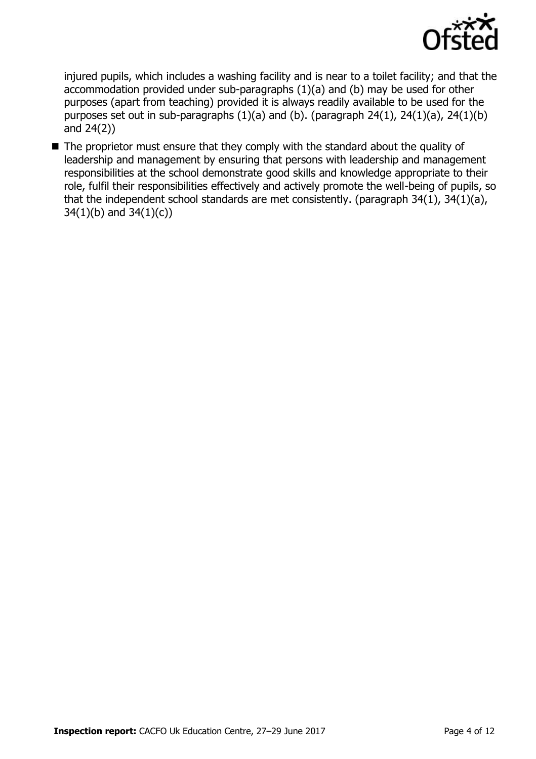

injured pupils, which includes a washing facility and is near to a toilet facility; and that the accommodation provided under sub-paragraphs (1)(a) and (b) may be used for other purposes (apart from teaching) provided it is always readily available to be used for the purposes set out in sub-paragraphs  $(1)(a)$  and  $(b)$ . (paragraph 24 $(1)$ , 24 $(1)(a)$ , 24 $(1)(b)$ and 24(2))

The proprietor must ensure that they comply with the standard about the quality of leadership and management by ensuring that persons with leadership and management responsibilities at the school demonstrate good skills and knowledge appropriate to their role, fulfil their responsibilities effectively and actively promote the well-being of pupils, so that the independent school standards are met consistently. (paragraph 34(1), 34(1)(a), 34(1)(b) and 34(1)(c))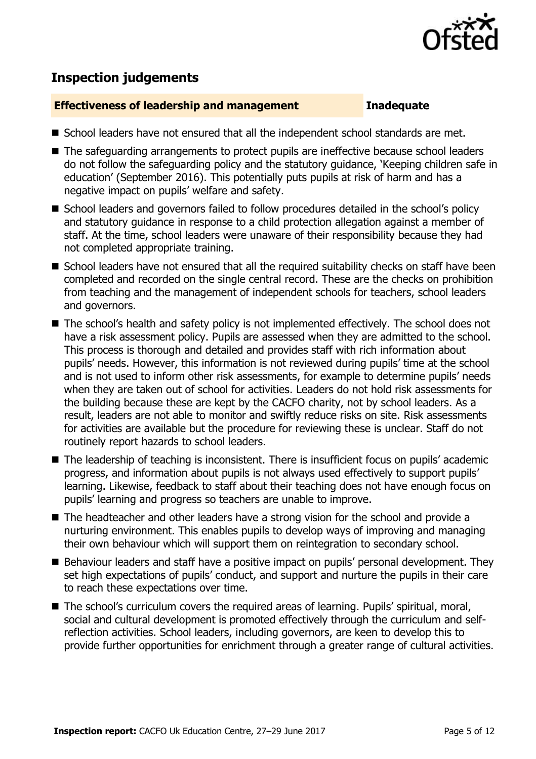

## **Inspection judgements**

### **Effectiveness of leadership and management Inadequate**

- School leaders have not ensured that all the independent school standards are met.
- The safeguarding arrangements to protect pupils are ineffective because school leaders do not follow the safeguarding policy and the statutory guidance, 'Keeping children safe in education' (September 2016). This potentially puts pupils at risk of harm and has a negative impact on pupils' welfare and safety.
- School leaders and governors failed to follow procedures detailed in the school's policy and statutory guidance in response to a child protection allegation against a member of staff. At the time, school leaders were unaware of their responsibility because they had not completed appropriate training.
- School leaders have not ensured that all the required suitability checks on staff have been completed and recorded on the single central record. These are the checks on prohibition from teaching and the management of independent schools for teachers, school leaders and governors.
- The school's health and safety policy is not implemented effectively. The school does not have a risk assessment policy. Pupils are assessed when they are admitted to the school. This process is thorough and detailed and provides staff with rich information about pupils' needs. However, this information is not reviewed during pupils' time at the school and is not used to inform other risk assessments, for example to determine pupils' needs when they are taken out of school for activities. Leaders do not hold risk assessments for the building because these are kept by the CACFO charity, not by school leaders. As a result, leaders are not able to monitor and swiftly reduce risks on site. Risk assessments for activities are available but the procedure for reviewing these is unclear. Staff do not routinely report hazards to school leaders.
- The leadership of teaching is inconsistent. There is insufficient focus on pupils' academic progress, and information about pupils is not always used effectively to support pupils' learning. Likewise, feedback to staff about their teaching does not have enough focus on pupils' learning and progress so teachers are unable to improve.
- The headteacher and other leaders have a strong vision for the school and provide a nurturing environment. This enables pupils to develop ways of improving and managing their own behaviour which will support them on reintegration to secondary school.
- Behaviour leaders and staff have a positive impact on pupils' personal development. They set high expectations of pupils' conduct, and support and nurture the pupils in their care to reach these expectations over time.
- The school's curriculum covers the required areas of learning. Pupils' spiritual, moral, social and cultural development is promoted effectively through the curriculum and selfreflection activities. School leaders, including governors, are keen to develop this to provide further opportunities for enrichment through a greater range of cultural activities.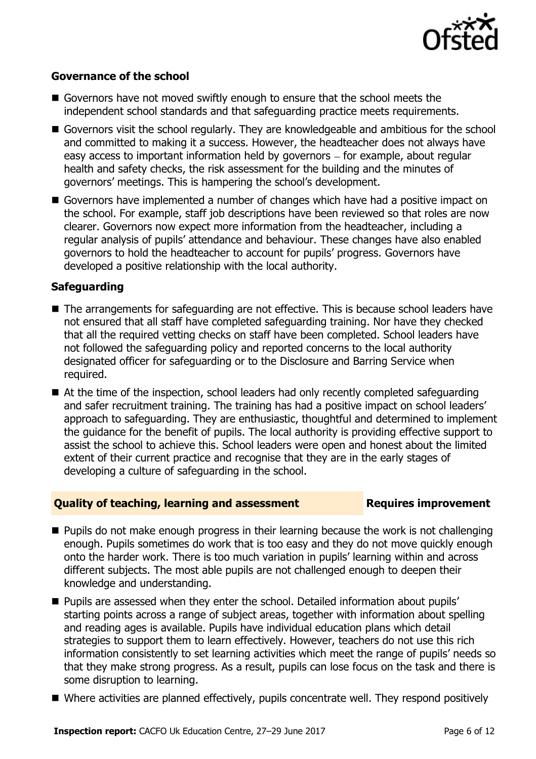

### **Governance of the school**

- Governors have not moved swiftly enough to ensure that the school meets the independent school standards and that safeguarding practice meets requirements.
- Governors visit the school regularly. They are knowledgeable and ambitious for the school and committed to making it a success. However, the headteacher does not always have easy access to important information held by governors – for example, about regular health and safety checks, the risk assessment for the building and the minutes of governors' meetings. This is hampering the school's development.
- Governors have implemented a number of changes which have had a positive impact on the school. For example, staff job descriptions have been reviewed so that roles are now clearer. Governors now expect more information from the headteacher, including a regular analysis of pupils' attendance and behaviour. These changes have also enabled governors to hold the headteacher to account for pupils' progress. Governors have developed a positive relationship with the local authority.

### **Safeguarding**

- The arrangements for safeguarding are not effective. This is because school leaders have not ensured that all staff have completed safeguarding training. Nor have they checked that all the required vetting checks on staff have been completed. School leaders have not followed the safeguarding policy and reported concerns to the local authority designated officer for safeguarding or to the Disclosure and Barring Service when required.
- At the time of the inspection, school leaders had only recently completed safeguarding and safer recruitment training. The training has had a positive impact on school leaders' approach to safeguarding. They are enthusiastic, thoughtful and determined to implement the guidance for the benefit of pupils. The local authority is providing effective support to assist the school to achieve this. School leaders were open and honest about the limited extent of their current practice and recognise that they are in the early stages of developing a culture of safeguarding in the school.

### **Quality of teaching, learning and assessment Fig. 2.1 Requires improvement**

- **Pupils do not make enough progress in their learning because the work is not challenging** enough. Pupils sometimes do work that is too easy and they do not move quickly enough onto the harder work. There is too much variation in pupils' learning within and across different subjects. The most able pupils are not challenged enough to deepen their knowledge and understanding.
- **Pupils are assessed when they enter the school. Detailed information about pupils'** starting points across a range of subject areas, together with information about spelling and reading ages is available. Pupils have individual education plans which detail strategies to support them to learn effectively. However, teachers do not use this rich information consistently to set learning activities which meet the range of pupils' needs so that they make strong progress. As a result, pupils can lose focus on the task and there is some disruption to learning.
- Where activities are planned effectively, pupils concentrate well. They respond positively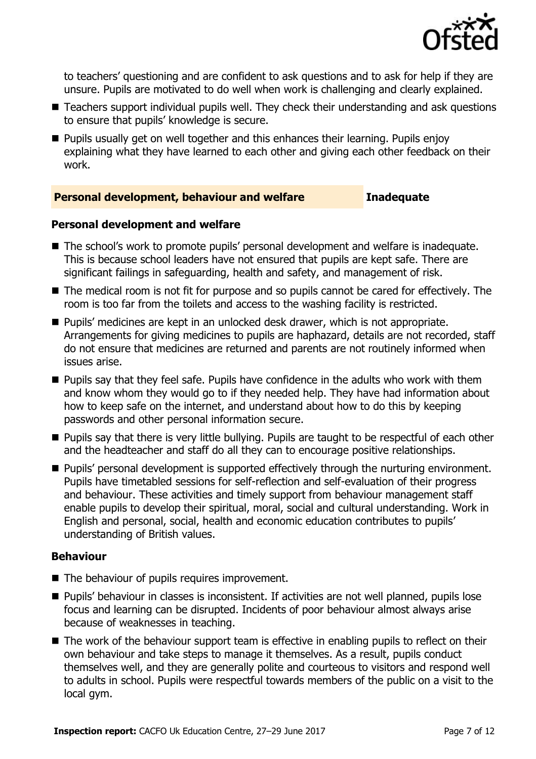

to teachers' questioning and are confident to ask questions and to ask for help if they are unsure. Pupils are motivated to do well when work is challenging and clearly explained.

- Teachers support individual pupils well. They check their understanding and ask questions to ensure that pupils' knowledge is secure.
- Pupils usually get on well together and this enhances their learning. Pupils enjoy explaining what they have learned to each other and giving each other feedback on their work.

### **Personal development, behaviour and welfare <b>Inadequate**

### **Personal development and welfare**

- The school's work to promote pupils' personal development and welfare is inadequate. This is because school leaders have not ensured that pupils are kept safe. There are significant failings in safeguarding, health and safety, and management of risk.
- The medical room is not fit for purpose and so pupils cannot be cared for effectively. The room is too far from the toilets and access to the washing facility is restricted.
- **Pupils' medicines are kept in an unlocked desk drawer, which is not appropriate.** Arrangements for giving medicines to pupils are haphazard, details are not recorded, staff do not ensure that medicines are returned and parents are not routinely informed when issues arise.
- **Pupils say that they feel safe. Pupils have confidence in the adults who work with them** and know whom they would go to if they needed help. They have had information about how to keep safe on the internet, and understand about how to do this by keeping passwords and other personal information secure.
- **Pupils say that there is very little bullying. Pupils are taught to be respectful of each other** and the headteacher and staff do all they can to encourage positive relationships.
- **Pupils' personal development is supported effectively through the nurturing environment.** Pupils have timetabled sessions for self-reflection and self-evaluation of their progress and behaviour. These activities and timely support from behaviour management staff enable pupils to develop their spiritual, moral, social and cultural understanding. Work in English and personal, social, health and economic education contributes to pupils' understanding of British values.

### **Behaviour**

- The behaviour of pupils requires improvement.
- **Pupils' behaviour in classes is inconsistent. If activities are not well planned, pupils lose** focus and learning can be disrupted. Incidents of poor behaviour almost always arise because of weaknesses in teaching.
- The work of the behaviour support team is effective in enabling pupils to reflect on their own behaviour and take steps to manage it themselves. As a result, pupils conduct themselves well, and they are generally polite and courteous to visitors and respond well to adults in school. Pupils were respectful towards members of the public on a visit to the local gym.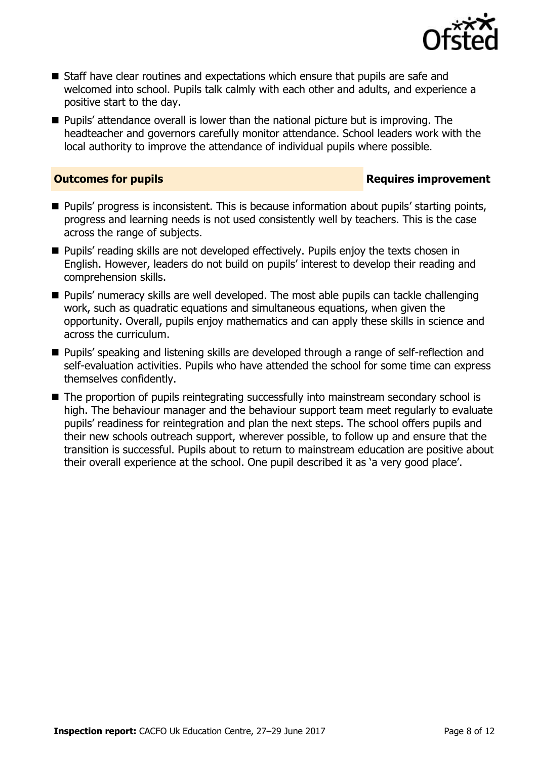

- Staff have clear routines and expectations which ensure that pupils are safe and welcomed into school. Pupils talk calmly with each other and adults, and experience a positive start to the day.
- Pupils' attendance overall is lower than the national picture but is improving. The headteacher and governors carefully monitor attendance. School leaders work with the local authority to improve the attendance of individual pupils where possible.

### **Outcomes for pupils Requires improvement**

- **Pupils' progress is inconsistent. This is because information about pupils' starting points,** progress and learning needs is not used consistently well by teachers. This is the case across the range of subjects.
- **Pupils'** reading skills are not developed effectively. Pupils enjoy the texts chosen in English. However, leaders do not build on pupils' interest to develop their reading and comprehension skills.
- **Pupils' numeracy skills are well developed. The most able pupils can tackle challenging** work, such as quadratic equations and simultaneous equations, when given the opportunity. Overall, pupils enjoy mathematics and can apply these skills in science and across the curriculum.
- Pupils' speaking and listening skills are developed through a range of self-reflection and self-evaluation activities. Pupils who have attended the school for some time can express themselves confidently.
- The proportion of pupils reintegrating successfully into mainstream secondary school is high. The behaviour manager and the behaviour support team meet regularly to evaluate pupils' readiness for reintegration and plan the next steps. The school offers pupils and their new schools outreach support, wherever possible, to follow up and ensure that the transition is successful. Pupils about to return to mainstream education are positive about their overall experience at the school. One pupil described it as 'a very good place'.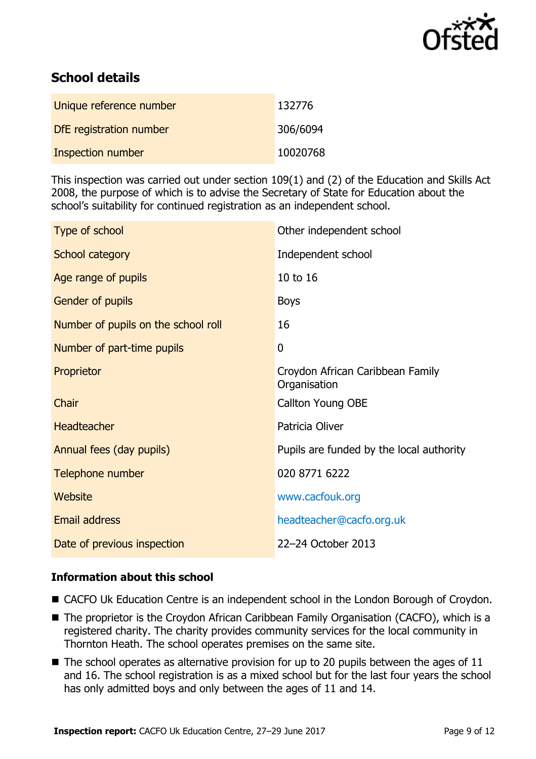

# **School details**

| Unique reference number  | 132776   |
|--------------------------|----------|
| DfE registration number  | 306/6094 |
| <b>Inspection number</b> | 10020768 |

This inspection was carried out under section 109(1) and (2) of the Education and Skills Act 2008, the purpose of which is to advise the Secretary of State for Education about the school's suitability for continued registration as an independent school.

| Type of school                      | Other independent school                         |
|-------------------------------------|--------------------------------------------------|
| School category                     | Independent school                               |
| Age range of pupils                 | 10 to 16                                         |
| Gender of pupils                    | <b>Boys</b>                                      |
| Number of pupils on the school roll | 16                                               |
| Number of part-time pupils          | $\mathbf 0$                                      |
| Proprietor                          | Croydon African Caribbean Family<br>Organisation |
| Chair                               | <b>Callton Young OBE</b>                         |
| <b>Headteacher</b>                  | Patricia Oliver                                  |
| Annual fees (day pupils)            | Pupils are funded by the local authority         |
| Telephone number                    | 020 8771 6222                                    |
| Website                             | www.cacfouk.org                                  |
| <b>Email address</b>                | headteacher@cacfo.org.uk                         |
| Date of previous inspection         | 22-24 October 2013                               |

### **Information about this school**

- CACFO Uk Education Centre is an independent school in the London Borough of Croydon.
- The proprietor is the Croydon African Caribbean Family Organisation (CACFO), which is a registered charity. The charity provides community services for the local community in Thornton Heath. The school operates premises on the same site.
- $\blacksquare$  The school operates as alternative provision for up to 20 pupils between the ages of 11 and 16. The school registration is as a mixed school but for the last four years the school has only admitted boys and only between the ages of 11 and 14.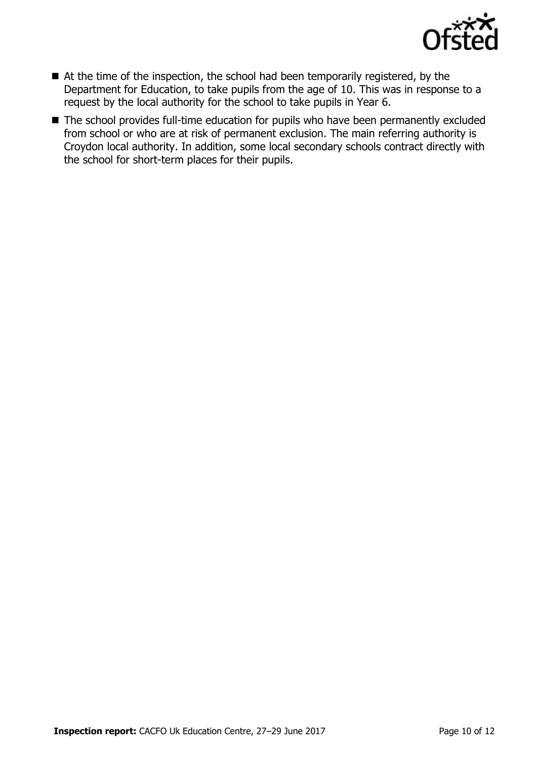

- At the time of the inspection, the school had been temporarily registered, by the Department for Education, to take pupils from the age of 10. This was in response to a request by the local authority for the school to take pupils in Year 6.
- The school provides full-time education for pupils who have been permanently excluded from school or who are at risk of permanent exclusion. The main referring authority is Croydon local authority. In addition, some local secondary schools contract directly with the school for short-term places for their pupils.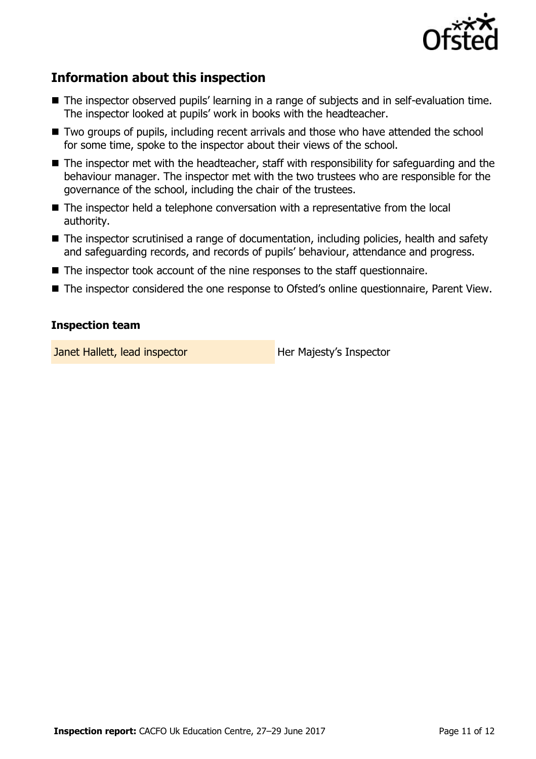

# **Information about this inspection**

- The inspector observed pupils' learning in a range of subjects and in self-evaluation time. The inspector looked at pupils' work in books with the headteacher.
- Two groups of pupils, including recent arrivals and those who have attended the school for some time, spoke to the inspector about their views of the school.
- The inspector met with the headteacher, staff with responsibility for safeguarding and the behaviour manager. The inspector met with the two trustees who are responsible for the governance of the school, including the chair of the trustees.
- The inspector held a telephone conversation with a representative from the local authority.
- The inspector scrutinised a range of documentation, including policies, health and safety and safeguarding records, and records of pupils' behaviour, attendance and progress.
- The inspector took account of the nine responses to the staff questionnaire.
- The inspector considered the one response to Ofsted's online questionnaire, Parent View.

### **Inspection team**

**Janet Hallett, lead inspector Her Majesty's Inspector**